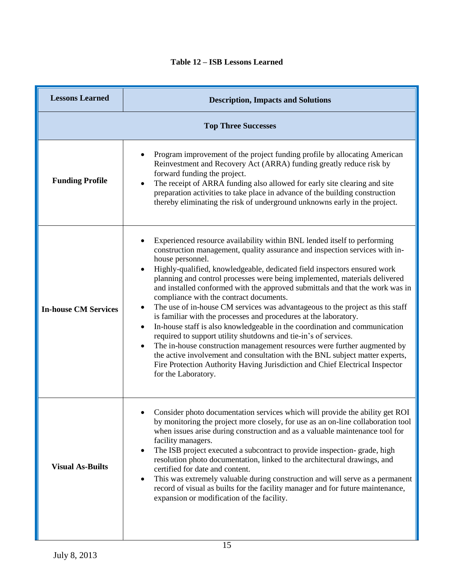## **Table 12 – ISB Lessons Learned**

| <b>Lessons Learned</b>      | <b>Description, Impacts and Solutions</b>                                                                                                                                                                                                                                                                                                                                                                                                                                                                                                                                                                                                                                                                                                                                                                                                                                                                                                                                                                                                                                 |  |
|-----------------------------|---------------------------------------------------------------------------------------------------------------------------------------------------------------------------------------------------------------------------------------------------------------------------------------------------------------------------------------------------------------------------------------------------------------------------------------------------------------------------------------------------------------------------------------------------------------------------------------------------------------------------------------------------------------------------------------------------------------------------------------------------------------------------------------------------------------------------------------------------------------------------------------------------------------------------------------------------------------------------------------------------------------------------------------------------------------------------|--|
| <b>Top Three Successes</b>  |                                                                                                                                                                                                                                                                                                                                                                                                                                                                                                                                                                                                                                                                                                                                                                                                                                                                                                                                                                                                                                                                           |  |
| <b>Funding Profile</b>      | Program improvement of the project funding profile by allocating American<br>Reinvestment and Recovery Act (ARRA) funding greatly reduce risk by<br>forward funding the project.<br>The receipt of ARRA funding also allowed for early site clearing and site<br>preparation activities to take place in advance of the building construction<br>thereby eliminating the risk of underground unknowns early in the project.                                                                                                                                                                                                                                                                                                                                                                                                                                                                                                                                                                                                                                               |  |
| <b>In-house CM Services</b> | Experienced resource availability within BNL lended itself to performing<br>construction management, quality assurance and inspection services with in-<br>house personnel.<br>Highly-qualified, knowledgeable, dedicated field inspectors ensured work<br>$\bullet$<br>planning and control processes were being implemented, materials delivered<br>and installed conformed with the approved submittals and that the work was in<br>compliance with the contract documents.<br>The use of in-house CM services was advantageous to the project as this staff<br>is familiar with the processes and procedures at the laboratory.<br>In-house staff is also knowledgeable in the coordination and communication<br>٠<br>required to support utility shutdowns and tie-in's of services.<br>The in-house construction management resources were further augmented by<br>$\bullet$<br>the active involvement and consultation with the BNL subject matter experts,<br>Fire Protection Authority Having Jurisdiction and Chief Electrical Inspector<br>for the Laboratory. |  |
| <b>Visual As-Builts</b>     | Consider photo documentation services which will provide the ability get ROI<br>by monitoring the project more closely, for use as an on-line collaboration tool<br>when issues arise during construction and as a valuable maintenance tool for<br>facility managers.<br>The ISB project executed a subcontract to provide inspection- grade, high<br>$\bullet$<br>resolution photo documentation, linked to the architectural drawings, and<br>certified for date and content.<br>This was extremely valuable during construction and will serve as a permanent<br>٠<br>record of visual as builts for the facility manager and for future maintenance,<br>expansion or modification of the facility.                                                                                                                                                                                                                                                                                                                                                                   |  |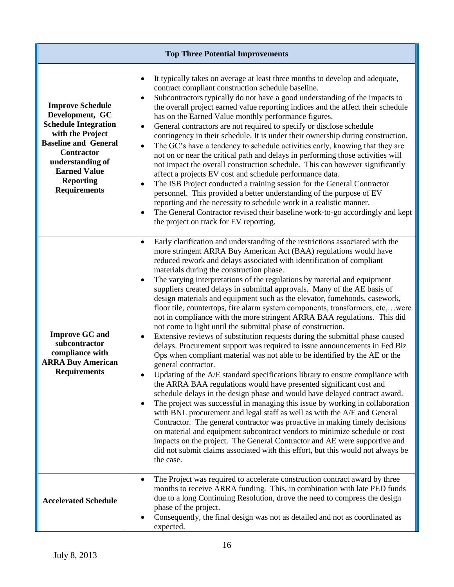| <b>Top Three Potential Improvements</b>                                                                                                                                                                                                 |                                                                                                                                                                                                                                                                                                                                                                                                                                                                                                                                                                                                                                                                                                                                                                                                                                                                                                                                                                                                                                                                                                                                                                                                                                                                                                                                                                                                                                                                                                                                                                                                                                                                                                                                                                       |  |
|-----------------------------------------------------------------------------------------------------------------------------------------------------------------------------------------------------------------------------------------|-----------------------------------------------------------------------------------------------------------------------------------------------------------------------------------------------------------------------------------------------------------------------------------------------------------------------------------------------------------------------------------------------------------------------------------------------------------------------------------------------------------------------------------------------------------------------------------------------------------------------------------------------------------------------------------------------------------------------------------------------------------------------------------------------------------------------------------------------------------------------------------------------------------------------------------------------------------------------------------------------------------------------------------------------------------------------------------------------------------------------------------------------------------------------------------------------------------------------------------------------------------------------------------------------------------------------------------------------------------------------------------------------------------------------------------------------------------------------------------------------------------------------------------------------------------------------------------------------------------------------------------------------------------------------------------------------------------------------------------------------------------------------|--|
| <b>Improve Schedule</b><br>Development, GC<br><b>Schedule Integration</b><br>with the Project<br><b>Baseline and General</b><br><b>Contractor</b><br>understanding of<br><b>Earned Value</b><br><b>Reporting</b><br><b>Requirements</b> | It typically takes on average at least three months to develop and adequate,<br>contract compliant construction schedule baseline.<br>Subcontractors typically do not have a good understanding of the impacts to<br>the overall project earned value reporting indices and the affect their schedule<br>has on the Earned Value monthly performance figures.<br>General contractors are not required to specify or disclose schedule<br>contingency in their schedule. It is under their ownership during construction.<br>The GC's have a tendency to schedule activities early, knowing that they are<br>not on or near the critical path and delays in performing those activities will<br>not impact the overall construction schedule. This can however significantly<br>affect a projects EV cost and schedule performance data.<br>The ISB Project conducted a training session for the General Contractor<br>personnel. This provided a better understanding of the purpose of EV<br>reporting and the necessity to schedule work in a realistic manner.<br>The General Contractor revised their baseline work-to-go accordingly and kept<br>the project on track for EV reporting.                                                                                                                                                                                                                                                                                                                                                                                                                                                                                                                                                                          |  |
| <b>Improve GC and</b><br>subcontractor<br>compliance with<br><b>ARRA Buy American</b><br><b>Requirements</b>                                                                                                                            | Early clarification and understanding of the restrictions associated with the<br>$\bullet$<br>more stringent ARRA Buy American Act (BAA) regulations would have<br>reduced rework and delays associated with identification of compliant<br>materials during the construction phase.<br>The varying interpretations of the regulations by material and equipment<br>suppliers created delays in submittal approvals. Many of the AE basis of<br>design materials and equipment such as the elevator, fumehoods, casework,<br>floor tile, countertops, fire alarm system components, transformers, etc,were<br>not in compliance with the more stringent ARRA BAA regulations. This did<br>not come to light until the submittal phase of construction.<br>Extensive reviews of substitution requests during the submittal phase caused<br>delays. Procurement support was required to issue announcements in Fed Biz<br>Ops when compliant material was not able to be identified by the AE or the<br>general contractor.<br>Updating of the A/E standard specifications library to ensure compliance with<br>the ARRA BAA regulations would have presented significant cost and<br>schedule delays in the design phase and would have delayed contract award.<br>The project was successful in managing this issue by working in collaboration<br>with BNL procurement and legal staff as well as with the A/E and General<br>Contractor. The general contractor was proactive in making timely decisions<br>on material and equipment subcontract vendors to minimize schedule or cost<br>impacts on the project. The General Contractor and AE were supportive and<br>did not submit claims associated with this effort, but this would not always be<br>the case. |  |
| <b>Accelerated Schedule</b>                                                                                                                                                                                                             | The Project was required to accelerate construction contract award by three<br>months to receive ARRA funding. This, in combination with late PED funds<br>due to a long Continuing Resolution, drove the need to compress the design<br>phase of the project.<br>Consequently, the final design was not as detailed and not as coordinated as<br>expected.                                                                                                                                                                                                                                                                                                                                                                                                                                                                                                                                                                                                                                                                                                                                                                                                                                                                                                                                                                                                                                                                                                                                                                                                                                                                                                                                                                                                           |  |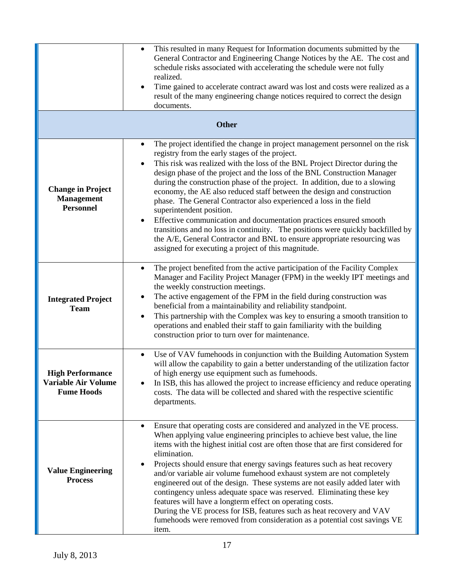|                                                                            | This resulted in many Request for Information documents submitted by the<br>$\bullet$<br>General Contractor and Engineering Change Notices by the AE. The cost and<br>schedule risks associated with accelerating the schedule were not fully<br>realized.<br>Time gained to accelerate contract award was lost and costs were realized as a<br>result of the many engineering change notices required to correct the design<br>documents.                                                                                                                                                                                                                                                                                                                                                                                                                                  |
|----------------------------------------------------------------------------|-----------------------------------------------------------------------------------------------------------------------------------------------------------------------------------------------------------------------------------------------------------------------------------------------------------------------------------------------------------------------------------------------------------------------------------------------------------------------------------------------------------------------------------------------------------------------------------------------------------------------------------------------------------------------------------------------------------------------------------------------------------------------------------------------------------------------------------------------------------------------------|
|                                                                            | <b>Other</b>                                                                                                                                                                                                                                                                                                                                                                                                                                                                                                                                                                                                                                                                                                                                                                                                                                                                |
| <b>Change in Project</b><br><b>Management</b><br><b>Personnel</b>          | The project identified the change in project management personnel on the risk<br>$\bullet$<br>registry from the early stages of the project.<br>This risk was realized with the loss of the BNL Project Director during the<br>$\bullet$<br>design phase of the project and the loss of the BNL Construction Manager<br>during the construction phase of the project. In addition, due to a slowing<br>economy, the AE also reduced staff between the design and construction<br>phase. The General Contractor also experienced a loss in the field<br>superintendent position.<br>Effective communication and documentation practices ensured smooth<br>transitions and no loss in continuity. The positions were quickly backfilled by<br>the A/E, General Contractor and BNL to ensure appropriate resourcing was<br>assigned for executing a project of this magnitude. |
| <b>Integrated Project</b><br><b>Team</b>                                   | The project benefited from the active participation of the Facility Complex<br>$\bullet$<br>Manager and Facility Project Manager (FPM) in the weekly IPT meetings and<br>the weekly construction meetings.<br>The active engagement of the FPM in the field during construction was<br>٠<br>beneficial from a maintainability and reliability standpoint.<br>This partnership with the Complex was key to ensuring a smooth transition to<br>operations and enabled their staff to gain familiarity with the building<br>construction prior to turn over for maintenance.                                                                                                                                                                                                                                                                                                   |
| <b>High Performance</b><br><b>Variable Air Volume</b><br><b>Fume Hoods</b> | Use of VAV fumehoods in conjunction with the Building Automation System<br>$\bullet$<br>will allow the capability to gain a better understanding of the utilization factor<br>of high energy use equipment such as fumehoods.<br>In ISB, this has allowed the project to increase efficiency and reduce operating<br>costs. The data will be collected and shared with the respective scientific<br>departments.                                                                                                                                                                                                                                                                                                                                                                                                                                                            |
| <b>Value Engineering</b><br><b>Process</b>                                 | Ensure that operating costs are considered and analyzed in the VE process.<br>$\bullet$<br>When applying value engineering principles to achieve best value, the line<br>items with the highest initial cost are often those that are first considered for<br>elimination.<br>Projects should ensure that energy savings features such as heat recovery<br>٠<br>and/or variable air volume fumehood exhaust system are not completely<br>engineered out of the design. These systems are not easily added later with<br>contingency unless adequate space was reserved. Eliminating these key<br>features will have a longterm effect on operating costs.<br>During the VE process for ISB, features such as heat recovery and VAV<br>fumehoods were removed from consideration as a potential cost savings VE<br>item.                                                     |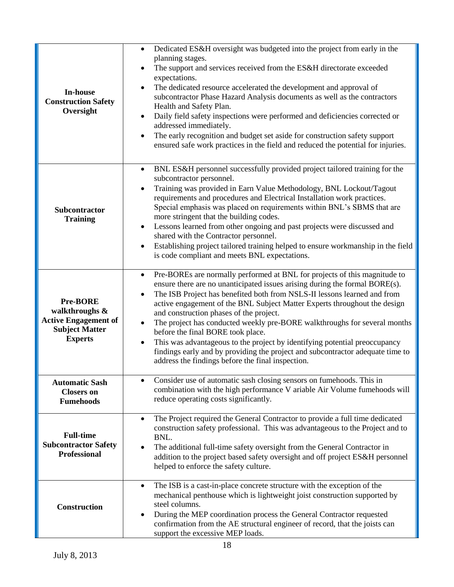| <b>In-house</b><br><b>Construction Safety</b><br>Oversight                                                                        | Dedicated ES&H oversight was budgeted into the project from early in the<br>$\bullet$<br>planning stages.<br>The support and services received from the ES&H directorate exceeded<br>expectations.<br>The dedicated resource accelerated the development and approval of<br>subcontractor Phase Hazard Analysis documents as well as the contractors<br>Health and Safety Plan.<br>Daily field safety inspections were performed and deficiencies corrected or<br>addressed immediately.<br>The early recognition and budget set aside for construction safety support<br>ensured safe work practices in the field and reduced the potential for injuries.                                                                                              |
|-----------------------------------------------------------------------------------------------------------------------------------|---------------------------------------------------------------------------------------------------------------------------------------------------------------------------------------------------------------------------------------------------------------------------------------------------------------------------------------------------------------------------------------------------------------------------------------------------------------------------------------------------------------------------------------------------------------------------------------------------------------------------------------------------------------------------------------------------------------------------------------------------------|
| Subcontractor<br><b>Training</b>                                                                                                  | BNL ES&H personnel successfully provided project tailored training for the<br>$\bullet$<br>subcontractor personnel.<br>Training was provided in Earn Value Methodology, BNL Lockout/Tagout<br>$\bullet$<br>requirements and procedures and Electrical Installation work practices.<br>Special emphasis was placed on requirements within BNL's SBMS that are<br>more stringent that the building codes.<br>Lessons learned from other ongoing and past projects were discussed and<br>$\bullet$<br>shared with the Contractor personnel.<br>Establishing project tailored training helped to ensure workmanship in the field<br>is code compliant and meets BNL expectations.                                                                           |
| <b>Pre-BORE</b><br>walkthroughs &<br><b>Active Engagement of</b><br><b>Subject Matter</b><br><b>Experts</b>                       | Pre-BOREs are normally performed at BNL for projects of this magnitude to<br>$\bullet$<br>ensure there are no unanticipated issues arising during the formal BORE(s).<br>The ISB Project has benefited both from NSLS-II lessons learned and from<br>$\bullet$<br>active engagement of the BNL Subject Matter Experts throughout the design<br>and construction phases of the project.<br>The project has conducted weekly pre-BORE walkthroughs for several months<br>$\bullet$<br>before the final BORE took place.<br>This was advantageous to the project by identifying potential preoccupancy<br>$\bullet$<br>findings early and by providing the project and subcontractor adequate time to<br>address the findings before the final inspection. |
| <b>Automatic Sash</b><br><b>Closers on</b><br><b>Fumehoods</b><br><b>Full-time</b><br><b>Subcontractor Safety</b><br>Professional | Consider use of automatic sash closing sensors on fumehoods. This in<br>combination with the high performance V ariable Air Volume fumehoods will<br>reduce operating costs significantly.<br>The Project required the General Contractor to provide a full time dedicated<br>$\bullet$<br>construction safety professional. This was advantageous to the Project and to<br>BNL.<br>The additional full-time safety oversight from the General Contractor in<br>$\bullet$<br>addition to the project based safety oversight and off project ES&H personnel<br>helped to enforce the safety culture.                                                                                                                                                     |
| <b>Construction</b>                                                                                                               | The ISB is a cast-in-place concrete structure with the exception of the<br>$\bullet$<br>mechanical penthouse which is lightweight joist construction supported by<br>steel columns.<br>During the MEP coordination process the General Contractor requested<br>٠<br>confirmation from the AE structural engineer of record, that the joists can<br>support the excessive MEP loads.                                                                                                                                                                                                                                                                                                                                                                     |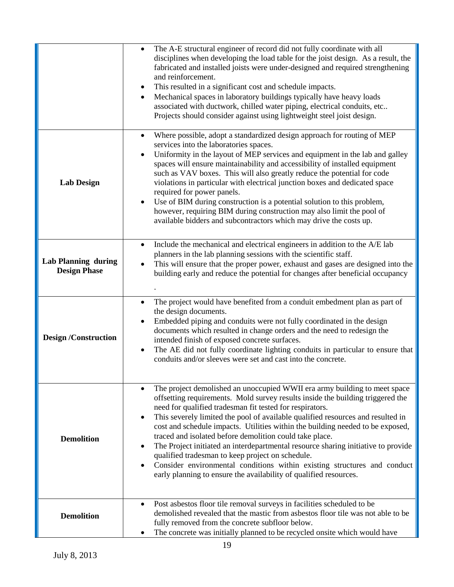|                                                   | The A-E structural engineer of record did not fully coordinate with all<br>$\bullet$<br>disciplines when developing the load table for the joist design. As a result, the<br>fabricated and installed joists were under-designed and required strengthening<br>and reinforcement.<br>This resulted in a significant cost and schedule impacts.<br>Mechanical spaces in laboratory buildings typically have heavy loads<br>associated with ductwork, chilled water piping, electrical conduits, etc<br>Projects should consider against using lightweight steel joist design.                                                                                                                                                                      |
|---------------------------------------------------|---------------------------------------------------------------------------------------------------------------------------------------------------------------------------------------------------------------------------------------------------------------------------------------------------------------------------------------------------------------------------------------------------------------------------------------------------------------------------------------------------------------------------------------------------------------------------------------------------------------------------------------------------------------------------------------------------------------------------------------------------|
| <b>Lab Design</b>                                 | Where possible, adopt a standardized design approach for routing of MEP<br>services into the laboratories spaces.<br>Uniformity in the layout of MEP services and equipment in the lab and galley<br>spaces will ensure maintainability and accessibility of installed equipment<br>such as VAV boxes. This will also greatly reduce the potential for code<br>violations in particular with electrical junction boxes and dedicated space<br>required for power panels.<br>Use of BIM during construction is a potential solution to this problem,<br>however, requiring BIM during construction may also limit the pool of<br>available bidders and subcontractors which may drive the costs up.                                                |
| <b>Lab Planning during</b><br><b>Design Phase</b> | Include the mechanical and electrical engineers in addition to the A/E lab<br>$\bullet$<br>planners in the lab planning sessions with the scientific staff.<br>This will ensure that the proper power, exhaust and gases are designed into the<br>building early and reduce the potential for changes after beneficial occupancy                                                                                                                                                                                                                                                                                                                                                                                                                  |
| <b>Design /Construction</b>                       | The project would have benefited from a conduit embedment plan as part of<br>$\bullet$<br>the design documents.<br>Embedded piping and conduits were not fully coordinated in the design<br>documents which resulted in change orders and the need to redesign the<br>intended finish of exposed concrete surfaces.<br>The AE did not fully coordinate lighting conduits in particular to ensure that<br>$\bullet$<br>conduits and/or sleeves were set and cast into the concrete.                                                                                                                                                                                                                                                                |
| <b>Demolition</b>                                 | The project demolished an unoccupied WWII era army building to meet space<br>offsetting requirements. Mold survey results inside the building triggered the<br>need for qualified tradesman fit tested for respirators.<br>This severely limited the pool of available qualified resources and resulted in<br>cost and schedule impacts. Utilities within the building needed to be exposed,<br>traced and isolated before demolition could take place.<br>The Project initiated an interdepartmental resource sharing initiative to provide<br>qualified tradesman to keep project on schedule.<br>Consider environmental conditions within existing structures and conduct<br>early planning to ensure the availability of qualified resources. |
| <b>Demolition</b>                                 | Post asbestos floor tile removal surveys in facilities scheduled to be<br>demolished revealed that the mastic from asbestos floor tile was not able to be<br>fully removed from the concrete subfloor below.<br>The concrete was initially planned to be recycled onsite which would have                                                                                                                                                                                                                                                                                                                                                                                                                                                         |